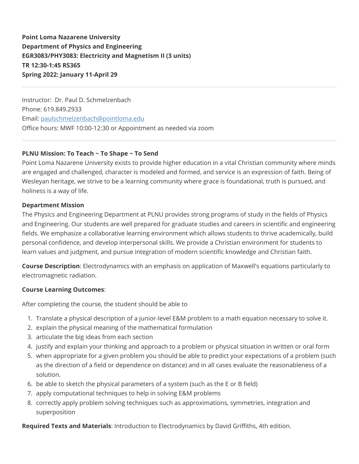**Point Loma Nazarene University Department of Physics and Engineering EGR3083/PHY3083: Electricity and Magnetism II (3 units) TR 12:30-1:45 RS365 Spring 2022: January 11-April 29**

Instructor: Dr. Paul D. Schmelzenbach Phone: 619.849.2933 Email: [paulschmelzenbach@pointloma.edu](mailto:paulschmelzenbach@pointloma.edu) Office hours: MWF 10:00-12:30 or Appointment as needed via zoom

## **PLNU Mission: To Teach ~ To Shape ~ To Send**

Point Loma Nazarene University exists to provide higher education in a vital Christian community where minds are engaged and challenged, character is modeled and formed, and service is an expression of faith. Being of Wesleyan heritage, we strive to be a learning community where grace is foundational, truth is pursued, and holiness is a way of life.

#### **Department Mission**

The Physics and Engineering Department at PLNU provides strong programs of study in the fields of Physics and Engineering. Our students are well prepared for graduate studies and careers in scientific and engineering fields. We emphasize a collaborative learning environment which allows students to thrive academically, build personal confidence, and develop interpersonal skills. We provide a Christian environment for students to learn values and judgment, and pursue integration of modern scientific knowledge and Christian faith.

**Course Description**: Electrodynamics with an emphasis on application of Maxwell's equations particularly to electromagnetic radiation.

## **Course Learning Outcomes**:

After completing the course, the student should be able to

- 1. Translate a physical description of a junior-level E&M problem to a math equation necessary to solve it.
- 2. explain the physical meaning of the mathematical formulation
- 3. articulate the big ideas from each section
- 4. justify and explain your thinking and approach to a problem or physical situation in written or oral form
- 5. when appropriate for a given problem you should be able to predict your expectations of a problem (such as the direction of a field or dependence on distance) and in all cases evaluate the reasonableness of a solution.
- 6. be able to sketch the physical parameters of a system (such as the E or B field)
- 7. apply computational techniques to help in solving E&M problems
- 8. correctly apply problem solving techniques such as approximations, symmetries, integration and superposition

**Required Texts and Materials**: Introduction to Electrodynamics by David Griffiths, 4th edition.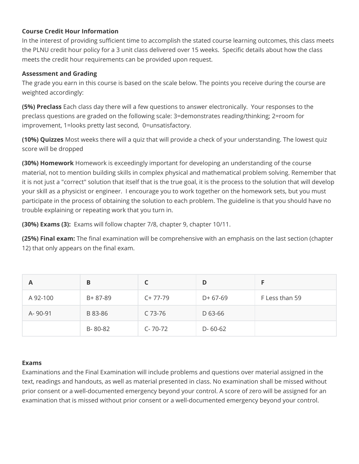## **Course Credit Hour Information**

In the interest of providing sufficient time to accomplish the stated course learning outcomes, this class meets the PLNU credit hour policy for a 3 unit class delivered over 15 weeks. Specific details about how the class meets the credit hour requirements can be provided upon request.

### **Assessment and Grading**

The grade you earn in this course is based on the scale below. The points you receive during the course are weighted accordingly:

**(5%) Preclass** Each class day there will a few questions to answer electronically. Your responses to the preclass questions are graded on the following scale: 3=demonstrates reading/thinking; 2=room for improvement, 1=looks pretty last second, 0=unsatisfactory.

**(10%) Quizzes** Most weeks there will a quiz that will provide a check of your understanding. The lowest quiz score will be dropped

**(30%) Homework** Homework is exceedingly important for developing an understanding of the course material, not to mention building skills in complex physical and mathematical problem solving. Remember that it is not just a "correct" solution that itself that is the true goal, it is the process to the solution that will develop your skill as a physicist or engineer. I encourage you to work together on the homework sets, but you must participate in the process of obtaining the solution to each problem. The guideline is that you should have no trouble explaining or repeating work that you turn in.

**(30%) Exams (3):** Exams will follow chapter 7/8, chapter 9, chapter 10/11.

**(25%) Final exam:** The final examination will be comprehensive with an emphasis on the last section (chapter 12) that only appears on the final exam.

| Α        | B       |               | D             |                |
|----------|---------|---------------|---------------|----------------|
| A 92-100 | B+87-89 | $C+77-79$     | $D+67-69$     | F Less than 59 |
| A-90-91  | B 83-86 | C 73-76       | D 63-66       |                |
|          | B-80-82 | $C - 70 - 72$ | $D - 60 - 62$ |                |

## **Exams**

Examinations and the Final Examination will include problems and questions over material assigned in the text, readings and handouts, as well as material presented in class. No examination shall be missed without prior consent or a well-documented emergency beyond your control. A score of zero will be assigned for an examination that is missed without prior consent or a well-documented emergency beyond your control.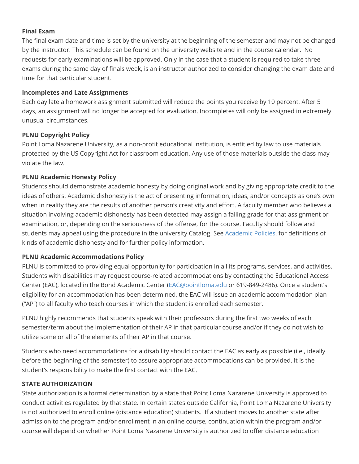## **Final Exam**

The final exam date and time is set by the university at the beginning of the semester and may not be changed by the instructor. This schedule can be found on the university website and in the course calendar. No requests for early examinations will be approved. Only in the case that a student is required to take three exams during the same day of finals week, is an instructor authorized to consider changing the exam date and time for that particular student.

### **Incompletes and Late Assignments**

Each day late a homework assignment submitted will reduce the points you receive by 10 percent. After 5 days, an assignment will no longer be accepted for evaluation. Incompletes will only be assigned in extremely unusual circumstances.

#### **PLNU Copyright Policy**

Point Loma Nazarene University, as a non-profit educational institution, is entitled by law to use materials protected by the US Copyright Act for classroom education. Any use of those materials outside the class may violate the law.

#### **PLNU Academic Honesty Policy**

Students should demonstrate academic honesty by doing original work and by giving appropriate credit to the ideas of others. Academic dishonesty is the act of presenting information, ideas, and/or concepts as one's own when in reality they are the results of another person's creativity and effort. A faculty member who believes a situation involving academic dishonesty has been detected may assign a failing grade for that assignment or examination, or, depending on the seriousness of the offense, for the course. Faculty should follow and students may appeal using the procedure in the university Catalog. See [Academic Policies.](http://catalog.pointloma.edu/content.php?catoid=18&navoid=1278) for definitions of kinds of academic dishonesty and for further policy information.

## **PLNU Academic Accommodations Policy**

PLNU is committed to providing equal opportunity for participation in all its programs, services, and activities. Students with disabilities may request course-related accommodations by contacting the Educational Access Center (EAC), located in the Bond Academic Center ([EAC@pointloma.edu](mailto:EAC@pointloma.edu) or 619-849-2486). Once a student's eligibility for an accommodation has been determined, the EAC will issue an academic accommodation plan ("AP") to all faculty who teach courses in which the student is enrolled each semester.

PLNU highly recommends that students speak with their professors during the first two weeks of each semester/term about the implementation of their AP in that particular course and/or if they do not wish to utilize some or all of the elements of their AP in that course.

Students who need accommodations for a disability should contact the EAC as early as possible (i.e., ideally before the beginning of the semester) to assure appropriate accommodations can be provided. It is the student's responsibility to make the first contact with the EAC.

## **STATE AUTHORIZATION**

State authorization is a formal determination by a state that Point Loma Nazarene University is approved to conduct activities regulated by that state. In certain states outside California, Point Loma Nazarene University is not authorized to enroll online (distance education) students. If a student moves to another state after admission to the program and/or enrollment in an online course, continuation within the program and/or course will depend on whether Point Loma Nazarene University is authorized to offer distance education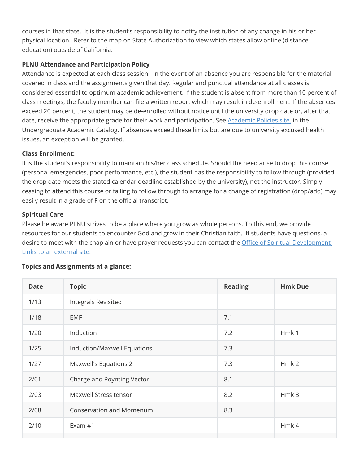courses in that state. It is the student's responsibility to notify the institution of any change in his or her physical location. Refer to the map on State Authorization to view which states allow online (distance education) outside of California.

# **PLNU Attendance and Participation Policy**

Attendance is expected at each class session. In the event of an absence you are responsible for the material covered in class and the assignments given that day. Regular and punctual attendance at all classes is considered essential to optimum academic achievement. If the student is absent from more than 10 percent of class meetings, the faculty member can file a written report which may result in de-enrollment. If the absences exceed 20 percent, the student may be de-enrolled without notice until the university drop date or, after that date, receive the appropriate grade for their work and participation. See [Academic Policies site.](https://catalog.pointloma.edu/content.php?catoid=46&navoid=2650#Class_Attendance) in the Undergraduate Academic Catalog. If absences exceed these limits but are due to university excused health issues, an exception will be granted.

## **Class Enrollment:**

It is the student's responsibility to maintain his/her class schedule. Should the need arise to drop this course (personal emergencies, poor performance, etc.), the student has the responsibility to follow through (provided the drop date meets the stated calendar deadline established by the university), not the instructor. Simply ceasing to attend this course or failing to follow through to arrange for a change of registration (drop/add) may easily result in a grade of F on the official transcript.

## **Spiritual Care**

Please be aware PLNU strives to be a place where you grow as whole persons. To this end, we provide resources for our students to encounter God and grow in their Christian faith. If students have questions, a [desire to meet with the chaplain or have prayer requests you can contact the Office of Spiritual Development](https://www.pointloma.edu/offices/spiritual-development) Links to an external site.

## **Topics and Assignments at a glance:**

| <b>Date</b> | <b>Topic</b>                    | <b>Reading</b> | <b>Hmk Due</b>   |
|-------------|---------------------------------|----------------|------------------|
| 1/13        | <b>Integrals Revisited</b>      |                |                  |
| 1/18        | <b>EMF</b>                      | 7.1            |                  |
| 1/20        | Induction                       | 7.2            | Hmk1             |
| 1/25        | Induction/Maxwell Equations     | 7.3            |                  |
| 1/27        | Maxwell's Equations 2           | 7.3            | Hmk <sub>2</sub> |
| 2/01        | Charge and Poynting Vector      | 8.1            |                  |
| 2/03        | Maxwell Stress tensor           | 8.2            | Hmk 3            |
| 2/08        | <b>Conservation and Momenum</b> | 8.3            |                  |
| 2/10        | Exam #1                         |                | Hmk4             |
|             |                                 |                |                  |